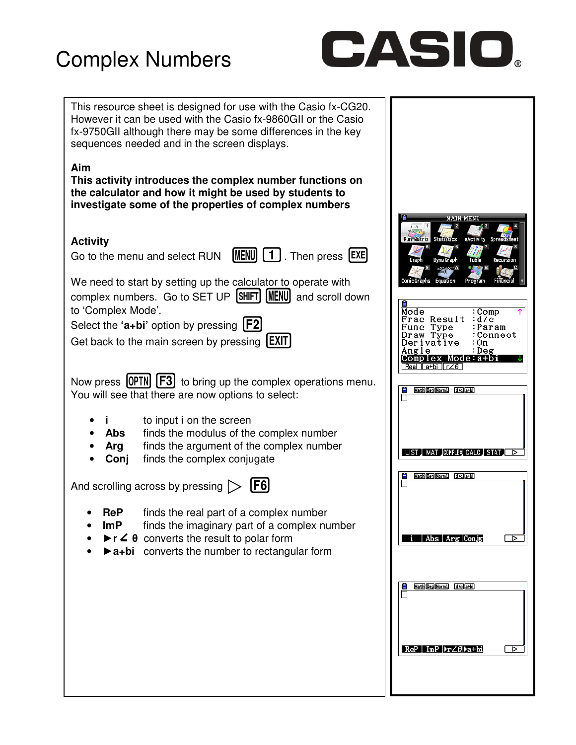## Complex Numbers



| This resource sheet is designed for use with the Casio fx-CG20.<br>However it can be used with the Casio fx-9860GII or the Casio<br>fx-9750GII although there may be some differences in the key<br>sequences needed and in the screen displays.                                                                                                               |                                                                                                                                                                                                                                                    |
|----------------------------------------------------------------------------------------------------------------------------------------------------------------------------------------------------------------------------------------------------------------------------------------------------------------------------------------------------------------|----------------------------------------------------------------------------------------------------------------------------------------------------------------------------------------------------------------------------------------------------|
| Aim<br>This activity introduces the complex number functions on<br>the calculator and how it might be used by students to<br>investigate some of the properties of complex numbers                                                                                                                                                                             |                                                                                                                                                                                                                                                    |
| <b>Activity</b><br>Go to the menu and select RUN $[\text{MENU}][1]$ . Then press $[\text{EXE}]$<br>We need to start by setting up the calculator to operate with<br>complex numbers. Go to SET UP [SHIFT] [MENU] and scroll down<br>to 'Complex Mode'.<br>Select the 'a+bi' option by pressing $[F2]$<br>Get back to the main screen by pressing <b>[EXIT]</b> | <b>MAIN MENU</b><br><b>Run-Matrix Statistics</b><br>Graph<br>Dyna Grapi<br>nic Graphs Equation<br>Mode<br>:Comp<br>Frac Result<br>:d/c<br>:Param<br>Func Type<br>:Connect<br>Draw Type<br>Derivative<br>: On<br>:Deg<br>Angle<br>Complex Mode:a+bi |
| Now press [OPTN] [F3] to bring up the complex operations menu.<br>You will see that there are now options to select:                                                                                                                                                                                                                                           | Real Ia+billr∠θ I<br>Math Deg Norm1 d/c a+bi<br>Ê                                                                                                                                                                                                  |
| to input i on the screen<br>finds the modulus of the complex number<br><b>Abs</b><br>finds the argument of the complex number<br>Arg<br>Conj<br>finds the complex conjugate<br>[F6]<br>And scrolling across by pressing $\triangleright$                                                                                                                       | I LIST I MAT JCOMPLEXI CALC I STAT II<br>Math Deg Norm1 (d/c)a+bi<br>₿                                                                                                                                                                             |
| finds the real part of a complex number<br><b>ReP</b><br>ImP<br>finds the imaginary part of a complex number<br>$\blacktriangleright$ r $\angle$ $\theta$ converts the result to polar form<br><b>D</b> a+bi converts the number to rectangular form                                                                                                           | Abs Arg Conjg<br>⊳                                                                                                                                                                                                                                 |
|                                                                                                                                                                                                                                                                                                                                                                | Math Deg Norm1 [d/c]a+bi                                                                                                                                                                                                                           |
|                                                                                                                                                                                                                                                                                                                                                                | $ReP$ ImP $\blacktriangleright$ r $\angle \theta$ $\blacktriangleright$ a+bi<br>⊳                                                                                                                                                                  |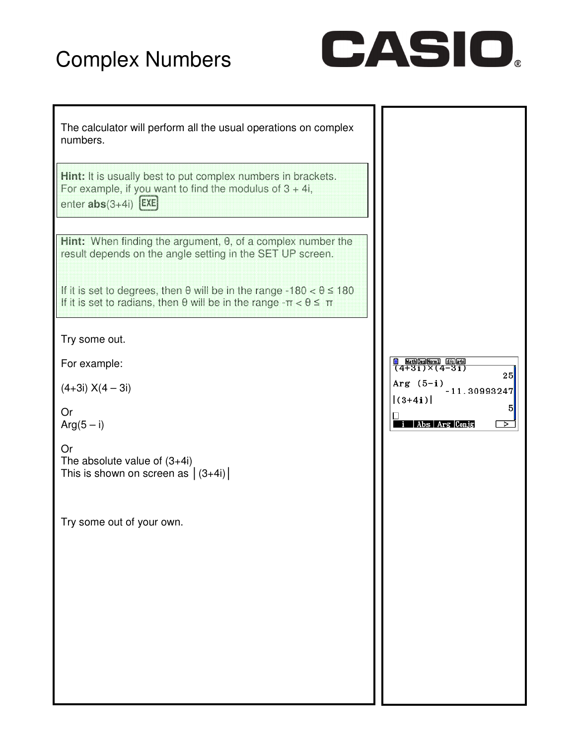## Complex Numbers



| The calculator will perform all the usual operations on complex<br>numbers.                                                                                                 |                                                   |
|-----------------------------------------------------------------------------------------------------------------------------------------------------------------------------|---------------------------------------------------|
| Hint: It is usually best to put complex numbers in brackets.<br>For example, if you want to find the modulus of $3 + 4i$ ,<br>enter $abs(3+4i)$ $EXE$                       |                                                   |
| Hint: When finding the argument, $\theta$ , of a complex number the<br>result depends on the angle setting in the SET UP screen.                                            |                                                   |
| If it is set to degrees, then $\theta$ will be in the range -180 < $\theta \le 180$<br>If it is set to radians, then $\theta$ will be in the range $-\pi < \theta \leq \pi$ |                                                   |
| Try some out.                                                                                                                                                               |                                                   |
| For example:                                                                                                                                                                | <b>B</b> MathDesNerm1 (John M)<br>25              |
| $(4+3i) X(4-3i)$                                                                                                                                                            | Arg $(5-i)$ <sub>-11.30993247</sub><br>$ (3+4i) $ |
| Or<br>$Arg(5 - i)$                                                                                                                                                          | 5<br>Abs   Arg   Con.jg <br>⊳                     |
| Or<br>The absolute value of $(3+4i)$<br>This is shown on screen as $ (3+4i) $                                                                                               |                                                   |
| Try some out of your own.                                                                                                                                                   |                                                   |
|                                                                                                                                                                             |                                                   |
|                                                                                                                                                                             |                                                   |
|                                                                                                                                                                             |                                                   |
|                                                                                                                                                                             |                                                   |
|                                                                                                                                                                             |                                                   |